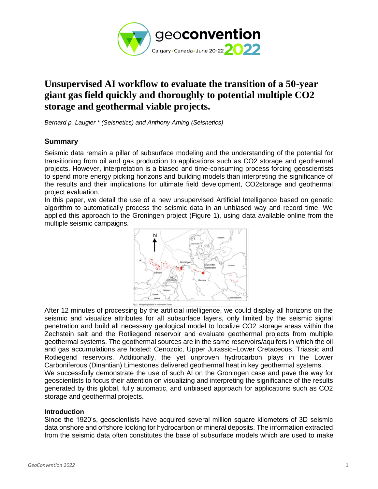

# **Unsupervised AI workflow to evaluate the transition of a 50-year giant gas field quickly and thoroughly to potential multiple CO2 storage and geothermal viable projects.**

*Bernard p. Laugier \* (Seisnetics) and Anthony Aming (Seisnetics)*

## **Summary**

Seismic data remain a pillar of subsurface modeling and the understanding of the potential for transitioning from oil and gas production to applications such as CO2 storage and geothermal projects. However, interpretation is a biased and time-consuming process forcing geoscientists to spend more energy picking horizons and building models than interpreting the significance of the results and their implications for ultimate field development, CO2storage and geothermal project evaluation.

In this paper, we detail the use of a new unsupervised Artificial Intelligence based on genetic algorithm to automatically process the seismic data in an unbiased way and record time. We applied this approach to the Groningen project (Figure 1), using data available online from the multiple seismic campaigns.



After 12 minutes of processing by the artificial intelligence, we could display all horizons on the seismic and visualize attributes for all subsurface layers, only limited by the seismic signal penetration and build all necessary geological model to localize CO2 storage areas within the Zechstein salt and the Rotliegend reservoir and evaluate geothermal projects from multiple geothermal systems. The geothermal sources are in the same reservoirs/aquifers in which the oil and gas accumulations are hosted: Cenozoic, Upper Jurassic–Lower Cretaceous, Triassic and Rotliegend reservoirs. Additionally, the yet unproven hydrocarbon plays in the Lower Carboniferous (Dinantian) Limestones delivered geothermal heat in key geothermal systems. We successfully demonstrate the use of such AI on the Groningen case and pave the way for geoscientists to focus their attention on visualizing and interpreting the significance of the results generated by this global, fully automatic, and unbiased approach for applications such as CO2 storage and geothermal projects.

#### **Introduction**

Since the 1920's, geoscientists have acquired several million square kilometers of 3D seismic data onshore and offshore looking for hydrocarbon or mineral deposits. The information extracted from the seismic data often constitutes the base of subsurface models which are used to make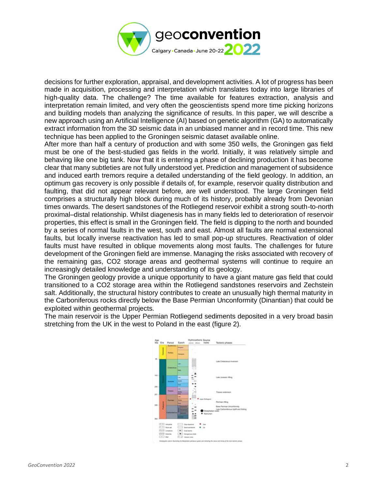

decisions for further exploration, appraisal, and development activities. A lot of progress has been made in acquisition, processing and interpretation which translates today into large libraries of high-quality data. The challenge? The time available for features extraction, analysis and interpretation remain limited, and very often the geoscientists spend more time picking horizons and building models than analyzing the significance of results. In this paper, we will describe a new approach using an Artificial Intelligence (AI) based on genetic algorithm (GA) to automatically extract information from the 3D seismic data in an unbiased manner and in record time. This new technique has been applied to the Groningen seismic dataset available online.

After more than half a century of production and with some 350 wells, the Groningen gas field must be one of the best-studied gas fields in the world. Initially, it was relatively simple and behaving like one big tank. Now that it is entering a phase of declining production it has become clear that many subtleties are not fully understood yet. Prediction and management of subsidence and induced earth tremors require a detailed understanding of the field geology. In addition, an optimum gas recovery is only possible if details of, for example, reservoir quality distribution and faulting, that did not appear relevant before, are well understood. The large Groningen field comprises a structurally high block during much of its history, probably already from Devonian times onwards. The desert sandstones of the Rotliegend reservoir exhibit a strong south-to-north proximal–distal relationship. Whilst diagenesis has in many fields led to deterioration of reservoir properties, this effect is small in the Groningen field. The field is dipping to the north and bounded by a series of normal faults in the west, south and east. Almost all faults are normal extensional faults, but locally inverse reactivation has led to small pop-up structures. Reactivation of older faults must have resulted in oblique movements along most faults. The challenges for future development of the Groningen field are immense. Managing the risks associated with recovery of the remaining gas, CO2 storage areas and geothermal systems will continue to require an increasingly detailed knowledge and understanding of its geology.

The Groningen geology provide a unique opportunity to have a giant mature gas field that could transitioned to a CO2 storage area within the Rotliegend sandstones reservoirs and Zechstein salt. Additionally, the structural history contributes to create an unusually high thermal maturity in the Carboniferous rocks directly below the Base Permian Unconformity (Dinantian) that could be exploited within geothermal projects.

The main reservoir is the Upper Permian Rotliegend sediments deposited in a very broad basin stretching from the UK in the west to Poland in the east (figure 2).

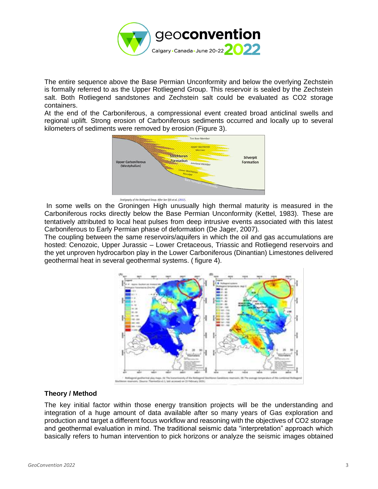

The entire sequence above the Base Permian Unconformity and below the overlying Zechstein is formally referred to as the Upper Rotliegend Group. This reservoir is sealed by the Zechstein salt. Both Rotliegend sandstones and Zechstein salt could be evaluated as CO2 storage containers.

At the end of the Carboniferous, a compressional event created broad anticlinal swells and regional uplift. Strong erosion of Carboniferous sediments occurred and locally up to several kilometers of sediments were removed by erosion (Figure 3).



Strationship of the Rotliegend Group, After Von Oilk et al. (2012).

In some wells on the Groningen High unusually high thermal maturity is measured in the Carboniferous rocks directly below the Base Permian Unconformity (Kettel, 1983). These are tentatively attributed to local heat pulses from deep intrusive events associated with this latest Carboniferous to Early Permian phase of deformation (De Jager, 2007).

The coupling between the same reservoirs/aquifers in which the oil and gas accumulations are hosted: Cenozoic, Upper Jurassic – Lower Cretaceous, Triassic and Rotliegend reservoirs and the yet unproven hydrocarbon play in the Lower Carboniferous (Dinantian) Limestones delivered geothermal heat in several geothermal systems. ( figure 4).



## **Theory / Method**

The key initial factor within those energy transition projects will be the understanding and integration of a huge amount of data available after so many years of Gas exploration and production and target a different focus workflow and reasoning with the objectives of CO2 storage and geothermal evaluation in mind. The traditional seismic data "interpretation" approach which basically refers to human intervention to pick horizons or analyze the seismic images obtained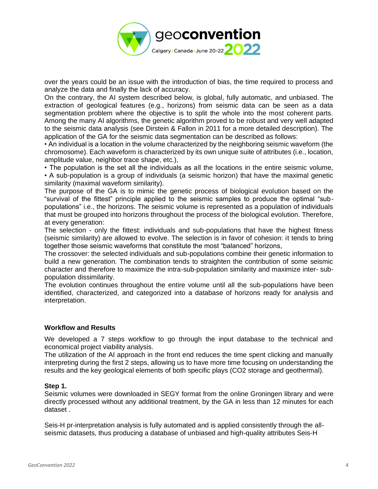

over the years could be an issue with the introduction of bias, the time required to process and analyze the data and finally the lack of accuracy.

On the contrary, the AI system described below, is global, fully automatic, and unbiased. The extraction of geological features (e.g., horizons) from seismic data can be seen as a data segmentation problem where the objective is to split the whole into the most coherent parts. Among the many AI algorithms, the genetic algorithm proved to be robust and very well adapted to the seismic data analysis (see Dirstein & Fallon in 2011 for a more detailed description). The application of the GA for the seismic data segmentation can be described as follows:

• An individual is a location in the volume characterized by the neighboring seismic waveform (the chromosome). Each waveform is characterized by its own unique suite of attributes (i.e., location, amplitude value, neighbor trace shape, etc.),

• The population is the set all the individuals as all the locations in the entire seismic volume, • A sub-population is a group of individuals (a seismic horizon) that have the maximal genetic similarity (maximal waveform similarity).

The purpose of the GA is to mimic the genetic process of biological evolution based on the "survival of the fittest" principle applied to the seismic samples to produce the optimal "subpopulations" i.e., the horizons. The seismic volume is represented as a population of individuals that must be grouped into horizons throughout the process of the biological evolution. Therefore, at every generation:

The selection - only the fittest: individuals and sub-populations that have the highest fitness (seismic similarity) are allowed to evolve. The selection is in favor of cohesion: it tends to bring together those seismic waveforms that constitute the most "balanced" horizons,

The crossover: the selected individuals and sub-populations combine their genetic information to build a new generation. The combination tends to straighten the contribution of some seismic character and therefore to maximize the intra-sub-population similarity and maximize inter- subpopulation dissimilarity.

The evolution continues throughout the entire volume until all the sub-populations have been identified, characterized, and categorized into a database of horizons ready for analysis and interpretation.

## **Workflow and Results**

We developed a 7 steps workflow to go through the input database to the technical and economical project viability analysis.

The utilization of the AI approach in the front end reduces the time spent clicking and manually interpreting during the first 2 steps, allowing us to have more time focusing on understanding the results and the key geological elements of both specific plays (CO2 storage and geothermal).

#### **Step 1.**

Seismic volumes were downloaded in SEGY format from the online Groningen library and were directly processed without any additional treatment, by the GA in less than 12 minutes for each dataset .

Seis-H pr-interpretation analysis is fully automated and is applied consistently through the allseismic datasets, thus producing a database of unbiased and high-quality attributes Seis-H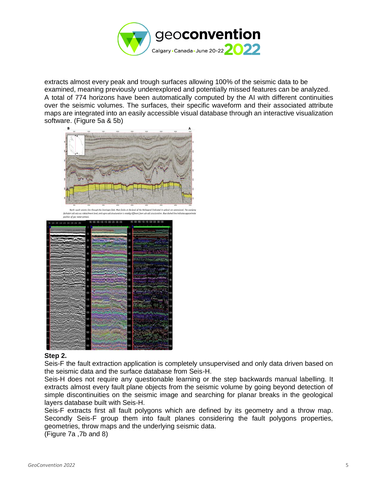

extracts almost every peak and trough surfaces allowing 100% of the seismic data to be examined, meaning previously underexplored and potentially missed features can be analyzed. A total of 774 horizons have been automatically computed by the AI with different continuities over the seismic volumes. The surfaces, their specific waveform and their associated attribute maps are integrated into an easily accessible visual database through an interactive visualization software. (Figure 5a & 5b)





## **Step 2.**

Seis-F the fault extraction application is completely unsupervised and only data driven based on the seismic data and the surface database from Seis-H.

Seis-H does not require any questionable learning or the step backwards manual labelling. It extracts almost every fault plane objects from the seismic volume by going beyond detection of simple discontinuities on the seismic image and searching for planar breaks in the geological layers database built with Seis-H.

Seis-F extracts first all fault polygons which are defined by its geometry and a throw map. Secondly Seis-F group them into fault planes considering the fault polygons properties, geometries, throw maps and the underlying seismic data.

(Figure 7a ,7b and 8)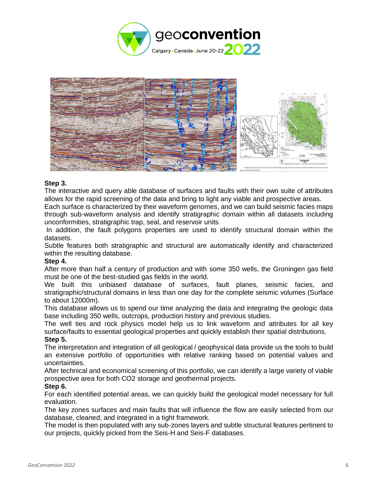



## **Step 3.**

The interactive and query able database of surfaces and faults with their own suite of attributes allows for the rapid screening of the data and bring to light any viable and prospective areas.

Each surface is characterized by their waveform genomes, and we can build seismic facies maps through sub-waveform analysis and identify stratigraphic domain within all datasets including unconformities, stratigraphic trap, seal, and reservoir units.

In addition, the fault polygons properties are used to identify structural domain within the datasets.

Subtle features both stratigraphic and structural are automatically identify and characterized within the resulting database.

## **Step 4.**

After more than half a century of production and with some 350 wells, the Groningen gas field must be one of the best-studied gas fields in the world.

We built this unbiased database of surfaces, fault planes, seismic facies, and stratigraphic/structural domains in less than one day for the complete seismic volumes (Surface to about 12000m).

This database allows us to spend our time analyzing the data and integrating the geologic data base including 350 wells, outcrops, production history and previous studies.

The well ties and rock physics model help us to link waveform and attributes for all key surface/faults to essential geological properties and quickly establish their spatial distributions. **Step 5.**

The interpretation and integration of all geological / geophysical data provide us the tools to build an extensive portfolio of opportunities with relative ranking based on potential values and uncertainties.

After technical and economical screening of this portfolio, we can identify a large variety of viable prospective area for both CO2 storage and geothermal projects.

## **Step 6.**

For each identified potential areas, we can quickly build the geological model necessary for full evaluation.

The key zones surfaces and main faults that will influence the flow are easily selected from our database, cleaned, and integrated in a tight framework.

The model is then populated with any sub-zones layers and subtle structural features pertinent to our projects, quickly picked from the Seis-H and Seis-F databases.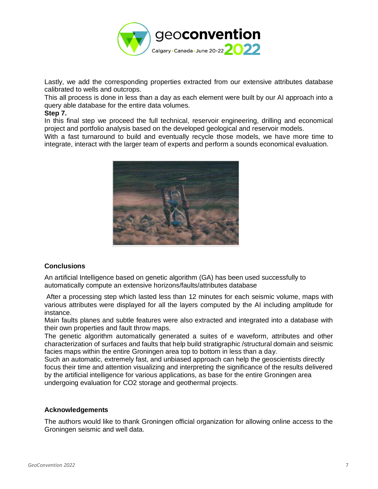

Lastly, we add the corresponding properties extracted from our extensive attributes database calibrated to wells and outcrops.

This all process is done in less than a day as each element were built by our AI approach into a query able database for the entire data volumes.

#### **Step 7.**

In this final step we proceed the full technical, reservoir engineering, drilling and economical project and portfolio analysis based on the developed geological and reservoir models.

With a fast turnaround to build and eventually recycle those models, we have more time to integrate, interact with the larger team of experts and perform a sounds economical evaluation.



## **Conclusions**

An artificial Intelligence based on genetic algorithm (GA) has been used successfully to automatically compute an extensive horizons/faults/attributes database

After a processing step which lasted less than 12 minutes for each seismic volume, maps with various attributes were displayed for all the layers computed by the AI including amplitude for instance.

Main faults planes and subtle features were also extracted and integrated into a database with their own properties and fault throw maps.

The genetic algorithm automatically generated a suites of e waveform, attributes and other characterization of surfaces and faults that help build stratigraphic /structural domain and seismic facies maps within the entire Groningen area top to bottom in less than a day.

Such an automatic, extremely fast, and unbiased approach can help the geoscientists directly focus their time and attention visualizing and interpreting the significance of the results delivered by the artificial intelligence for various applications, as base for the entire Groningen area undergoing evaluation for CO2 storage and geothermal projects.

#### **Acknowledgements**

The authors would like to thank Groningen official organization for allowing online access to the Groningen seismic and well data.